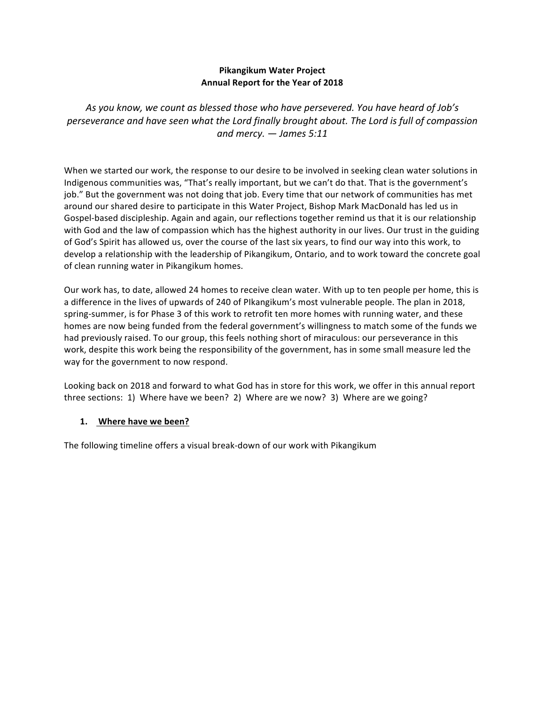## **Pikangikum Water Project Annual Report for the Year of 2018**

As you know, we count as blessed those who have persevered. You have heard of Job's *perseverance and have seen what the Lord finally brought about. The Lord is full of compassion and mercy. — James 5:11*

When we started our work, the response to our desire to be involved in seeking clean water solutions in Indigenous communities was, "That's really important, but we can't do that. That is the government's job." But the government was not doing that job. Every time that our network of communities has met around our shared desire to participate in this Water Project, Bishop Mark MacDonald has led us in Gospel-based discipleship. Again and again, our reflections together remind us that it is our relationship with God and the law of compassion which has the highest authority in our lives. Our trust in the guiding of God's Spirit has allowed us, over the course of the last six years, to find our way into this work, to develop a relationship with the leadership of Pikangikum, Ontario, and to work toward the concrete goal of clean running water in Pikangikum homes.

Our work has, to date, allowed 24 homes to receive clean water. With up to ten people per home, this is a difference in the lives of upwards of 240 of PIkangikum's most vulnerable people. The plan in 2018, spring-summer, is for Phase 3 of this work to retrofit ten more homes with running water, and these homes are now being funded from the federal government's willingness to match some of the funds we had previously raised. To our group, this feels nothing short of miraculous: our perseverance in this work, despite this work being the responsibility of the government, has in some small measure led the way for the government to now respond.

Looking back on 2018 and forward to what God has in store for this work, we offer in this annual report three sections: 1) Where have we been? 2) Where are we now? 3) Where are we going?

### 1. Where have we been?

The following timeline offers a visual break-down of our work with Pikangikum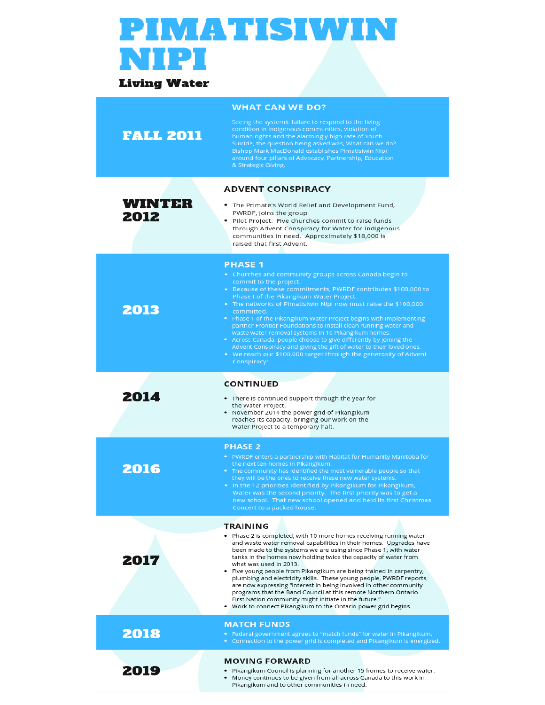# **PIMATISIWIN NIPI**

# **Living Water**

|                       | <b>WHAT CAN WE DO?</b>                                                                                                                                                                                                                                                                                                                                            |
|-----------------------|-------------------------------------------------------------------------------------------------------------------------------------------------------------------------------------------------------------------------------------------------------------------------------------------------------------------------------------------------------------------|
| <b>FALL 2011</b>      | Seeing the systemic failure to respond to the living<br>condition in indigenous communities, violation of<br>human rights and the alarmingly high rate of Youth<br>Suicide, the question being asked was, What can we do?<br>Bishop Mark MacDonald establishes Pimatisiwin Nipi<br>around four pillars of Advocacy, Partnership, Education<br>& Strategic Giving. |
|                       | <b>ADVENT CONSPIRACY</b>                                                                                                                                                                                                                                                                                                                                          |
| <b>WINTER</b><br>2012 | . The Primate's World Relief and Development Fund,<br>PWRDF, joins the group<br>. Pilot Project: Five churches commit to raise funds<br>through Advent Conspiracy for Water for Indigenous<br>communities in need. Approximately \$18,000 is<br>raised that first Advent.                                                                                         |
|                       | <b>PHASE 1</b><br>• Churches and community groups across Canada begin to                                                                                                                                                                                                                                                                                          |
|                       | commit to the project.<br>• Because of these commitments, PWRDF contributes \$100,000 to                                                                                                                                                                                                                                                                          |
| 2013                  | Phase I of the Pikangikum Water Project.<br>. The networks of Pimatisiwin Nipi now must raise the \$100,000<br>committed.                                                                                                                                                                                                                                         |
|                       | . Phase 1 of the Pikangikum Water Project begins with implementing<br>partner Frontier Foundations to install clean running water and<br>waste water removal systems in 10 Pikangikum homes.                                                                                                                                                                      |
|                       | • Across Canada, people choose to give differently by joining the<br>Advent Conspiracy and giving the gift of water to their loved ones.                                                                                                                                                                                                                          |
|                       | • We reach our \$100,000 target through the generosity of Advent<br>Conspiracy!                                                                                                                                                                                                                                                                                   |
|                       | <b>CONTINUED</b>                                                                                                                                                                                                                                                                                                                                                  |
| 2014                  | • There is continued support through the year for<br>the Water Project.<br>• November 2014 the power grid of Pikangikum                                                                                                                                                                                                                                           |
|                       | reaches its capacity, bringing our work on the<br>Water Project to a temporary halt.                                                                                                                                                                                                                                                                              |
|                       | <b>PHASE 2</b>                                                                                                                                                                                                                                                                                                                                                    |
|                       | • PWRDF enters a partnership with Habitat for Humanity Manitoba for<br>the next ten homes in Pikangikum.                                                                                                                                                                                                                                                          |
| 2016                  | . The community has identified the most vulnerable people so that<br>they will be the ones to receive these new water systems.<br>. In the 12 priorities identified by Pikangikum for Pikangikum,                                                                                                                                                                 |
|                       | Water was the second priority. The first priority was to get a<br>new school. That new school opened and held its first Christmas<br>Concert to a packed house.                                                                                                                                                                                                   |
|                       | <b>TRAINING</b>                                                                                                                                                                                                                                                                                                                                                   |
|                       | • Phase 2 is completed, with 10 more homes receiving running water<br>and waste water removal capabilities in their homes. Upgrades have                                                                                                                                                                                                                          |
| 2017                  | been made to the systems we are using since Phase 1, with water<br>tanks in the homes now holding twice the capacity of water from<br>what was used in 2013.                                                                                                                                                                                                      |
|                       | • Five young people from Pikangikum are being trained in carpentry,<br>plumbing and electricity skills. These young people, PWRDF reports,<br>are now expressing "interest in being involved in other community                                                                                                                                                   |
|                       | programs that the Band Council at this remote Northern Ontario<br>First Nation community might initiate in the future."<br>. Work to connect Pikangikum to the Ontario power grid begins.                                                                                                                                                                         |
|                       | <b>MATCH FUNDS</b>                                                                                                                                                                                                                                                                                                                                                |
| 2018                  | • Federal government agrees to "match funds" for water in Pikangikum.<br>• Connection to the power grid is completed and Pikangikum is energized.                                                                                                                                                                                                                 |
| 2019                  | <b>MOVING FORWARD</b><br>• Pikangikum Council is planning for another 15 homes to receive water.                                                                                                                                                                                                                                                                  |